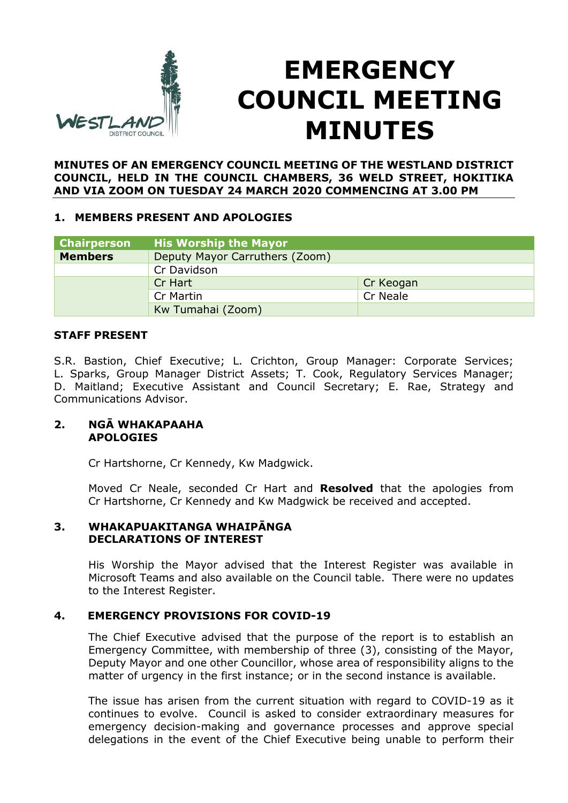

# **EMERGENCY COUNCIL MEETING MINUTES**

#### **MINUTES OF AN EMERGENCY COUNCIL MEETING OF THE WESTLAND DISTRICT COUNCIL, HELD IN THE COUNCIL CHAMBERS, 36 WELD STREET, HOKITIKA AND VIA ZOOM ON TUESDAY 24 MARCH 2020 COMMENCING AT 3.00 PM**

#### **1. MEMBERS PRESENT AND APOLOGIES**

| <b>Chairperson</b> | <b>His Worship the Mayor</b>   |           |
|--------------------|--------------------------------|-----------|
| <b>Members</b>     | Deputy Mayor Carruthers (Zoom) |           |
|                    | Cr Davidson                    |           |
|                    | Cr Hart                        | Cr Keogan |
|                    | Cr Martin                      | Cr Neale  |
|                    | Kw Tumahai (Zoom)              |           |

#### **STAFF PRESENT**

S.R. Bastion, Chief Executive; L. Crichton, Group Manager: Corporate Services; L. Sparks, Group Manager District Assets; T. Cook, Regulatory Services Manager; D. Maitland; Executive Assistant and Council Secretary; E. Rae, Strategy and Communications Advisor.

#### **2. NGĀ WHAKAPAAHA APOLOGIES**

Cr Hartshorne, Cr Kennedy, Kw Madgwick.

Moved Cr Neale, seconded Cr Hart and **Resolved** that the apologies from Cr Hartshorne, Cr Kennedy and Kw Madgwick be received and accepted.

#### **3. WHAKAPUAKITANGA WHAIPĀNGA DECLARATIONS OF INTEREST**

His Worship the Mayor advised that the Interest Register was available in Microsoft Teams and also available on the Council table. There were no updates to the Interest Register.

### **4. EMERGENCY PROVISIONS FOR COVID-19**

The Chief Executive advised that the purpose of the report is to establish an Emergency Committee, with membership of three (3), consisting of the Mayor, Deputy Mayor and one other Councillor, whose area of responsibility aligns to the matter of urgency in the first instance; or in the second instance is available.

The issue has arisen from the current situation with regard to COVID-19 as it continues to evolve. Council is asked to consider extraordinary measures for emergency decision-making and governance processes and approve special delegations in the event of the Chief Executive being unable to perform their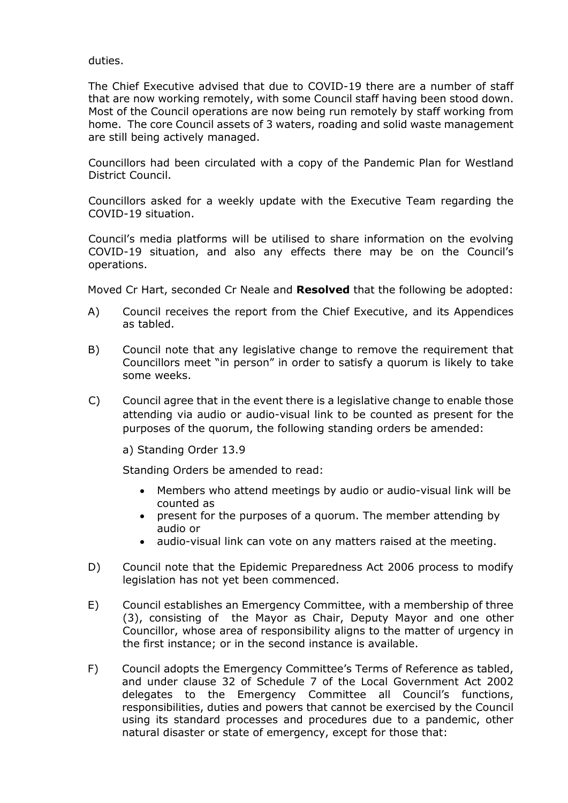duties.

The Chief Executive advised that due to COVID-19 there are a number of staff that are now working remotely, with some Council staff having been stood down. Most of the Council operations are now being run remotely by staff working from home. The core Council assets of 3 waters, roading and solid waste management are still being actively managed.

Councillors had been circulated with a copy of the Pandemic Plan for Westland District Council.

Councillors asked for a weekly update with the Executive Team regarding the COVID-19 situation.

Council's media platforms will be utilised to share information on the evolving COVID-19 situation, and also any effects there may be on the Council's operations.

Moved Cr Hart, seconded Cr Neale and **Resolved** that the following be adopted:

- A) Council receives the report from the Chief Executive, and its Appendices as tabled.
- B) Council note that any legislative change to remove the requirement that Councillors meet "in person" in order to satisfy a quorum is likely to take some weeks.
- C) Council agree that in the event there is a legislative change to enable those attending via audio or audio-visual link to be counted as present for the purposes of the quorum, the following standing orders be amended:

a) Standing Order 13.9

Standing Orders be amended to read:

- Members who attend meetings by audio or audio-visual link will be counted as
- present for the purposes of a quorum. The member attending by audio or
- audio-visual link can vote on any matters raised at the meeting.
- D) Council note that the Epidemic Preparedness Act 2006 process to modify legislation has not yet been commenced.
- E) Council establishes an Emergency Committee, with a membership of three (3), consisting of the Mayor as Chair, Deputy Mayor and one other Councillor, whose area of responsibility aligns to the matter of urgency in the first instance; or in the second instance is available.
- F) Council adopts the Emergency Committee's Terms of Reference as tabled, and under clause 32 of Schedule 7 of the Local Government Act 2002 delegates to the Emergency Committee all Council's functions, responsibilities, duties and powers that cannot be exercised by the Council using its standard processes and procedures due to a pandemic, other natural disaster or state of emergency, except for those that: